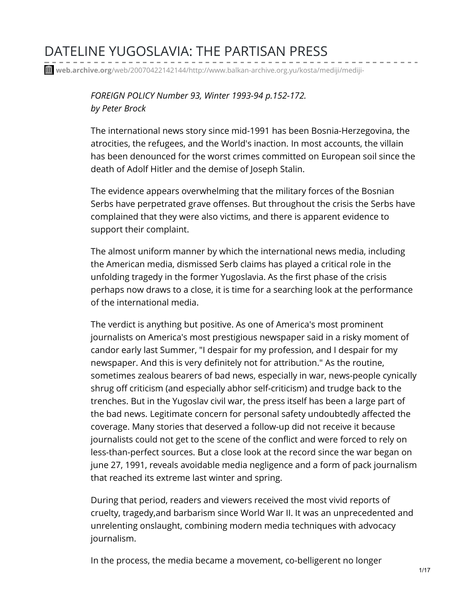# DATELINE YUGOSLAVIA: THE PARTISAN PRESS

**web.archive.org**[/web/20070422142144/http://www.balkan-archive.org.yu/kosta/mediji/mediji-](https://web.archive.org/web/20070422142144/http://www.balkan-archive.org.yu/kosta/mediji/mediji-dateline_yugoslavia_the_partisan_press-WI9394-peter_brock-foreign_policy.html)

*FOREIGN POLICY Number 93, Winter 1993-94 p.152-172. by Peter Brock*

The international news story since mid-1991 has been Bosnia-Herzegovina, the atrocities, the refugees, and the World's inaction. In most accounts, the villain has been denounced for the worst crimes committed on European soil since the death of Adolf Hitler and the demise of Joseph Stalin.

The evidence appears overwhelming that the military forces of the Bosnian Serbs have perpetrated grave offenses. But throughout the crisis the Serbs have complained that they were also victims, and there is apparent evidence to support their complaint.

The almost uniform manner by which the international news media, including the American media, dismissed Serb claims has played a critical role in the unfolding tragedy in the former Yugoslavia. As the first phase of the crisis perhaps now draws to a close, it is time for a searching look at the performance of the international media.

The verdict is anything but positive. As one of America's most prominent journalists on America's most prestigious newspaper said in a risky moment of candor early last Summer, "I despair for my profession, and I despair for my newspaper. And this is very definitely not for attribution." As the routine, sometimes zealous bearers of bad news, especially in war, news-people cynically shrug off criticism (and especially abhor self-criticism) and trudge back to the trenches. But in the Yugoslav civil war, the press itself has been a large part of the bad news. Legitimate concern for personal safety undoubtedly affected the coverage. Many stories that deserved a follow-up did not receive it because journalists could not get to the scene of the conflict and were forced to rely on less-than-perfect sources. But a close look at the record since the war began on june 27, 1991, reveals avoidable media negligence and a form of pack journalism that reached its extreme last winter and spring.

During that period, readers and viewers received the most vivid reports of cruelty, tragedy,and barbarism since World War II. It was an unprecedented and unrelenting onslaught, combining modern media techniques with advocacy journalism.

In the process, the media became a movement, co-belligerent no longer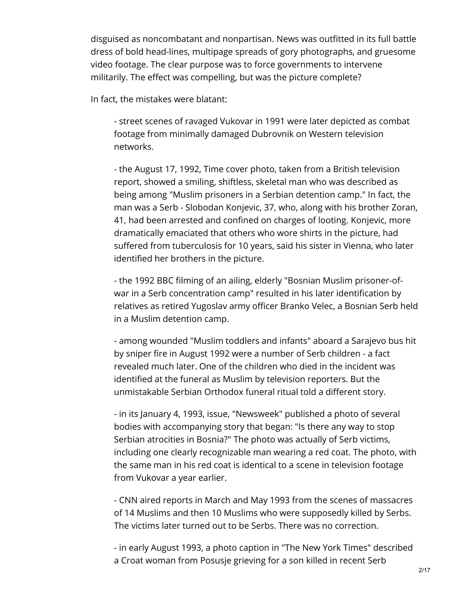disguised as noncombatant and nonpartisan. News was outfitted in its full battle dress of bold head-lines, multipage spreads of gory photographs, and gruesome video footage. The clear purpose was to force governments to intervene militarily. The effect was compelling, but was the picture complete?

In fact, the mistakes were blatant:

- street scenes of ravaged Vukovar in 1991 were later depicted as combat footage from minimally damaged Dubrovnik on Western television networks.

- the August 17, 1992, Time cover photo, taken from a British television report, showed a smiling, shiftless, skeletal man who was described as being among "Muslim prisoners in a Serbian detention camp." In fact, the man was a Serb - Slobodan Konjevic, 37, who, along with his brother Zoran, 41, had been arrested and confined on charges of looting. Konjevic, more dramatically emaciated that others who wore shirts in the picture, had suffered from tuberculosis for 10 years, said his sister in Vienna, who later identified her brothers in the picture.

- the 1992 BBC filming of an ailing, elderly "Bosnian Muslim prisoner-ofwar in a Serb concentration camp" resulted in his later identification by relatives as retired Yugoslav army officer Branko Velec, a Bosnian Serb held in a Muslim detention camp.

- among wounded "Muslim toddlers and infants" aboard a Sarajevo bus hit by sniper fire in August 1992 were a number of Serb children - a fact revealed much later. One of the children who died in the incident was identified at the funeral as Muslim by television reporters. But the unmistakable Serbian Orthodox funeral ritual told a different story.

- in its January 4, 1993, issue, "Newsweek" published a photo of several bodies with accompanying story that began: "Is there any way to stop Serbian atrocities in Bosnia?" The photo was actually of Serb victims, including one clearly recognizable man wearing a red coat. The photo, with the same man in his red coat is identical to a scene in television footage from Vukovar a year earlier.

- CNN aired reports in March and May 1993 from the scenes of massacres of 14 Muslims and then 10 Muslims who were supposedly killed by Serbs. The victims later turned out to be Serbs. There was no correction.

- in early August 1993, a photo caption in "The New York Times" described a Croat woman from Posusje grieving for a son killed in recent Serb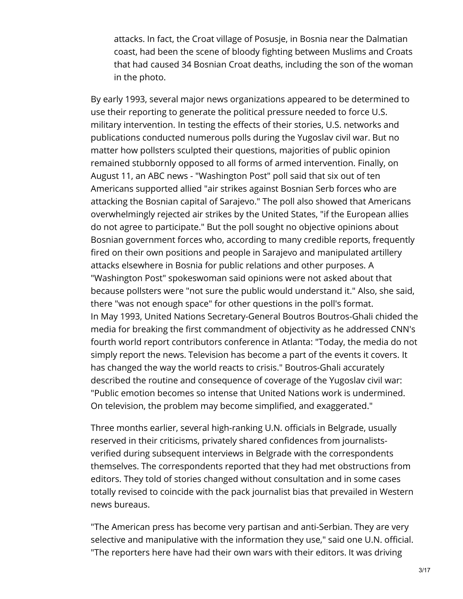attacks. In fact, the Croat village of Posusje, in Bosnia near the Dalmatian coast, had been the scene of bloody fighting between Muslims and Croats that had caused 34 Bosnian Croat deaths, including the son of the woman in the photo.

By early 1993, several major news organizations appeared to be determined to use their reporting to generate the political pressure needed to force U.S. military intervention. In testing the effects of their stories, U.S. networks and publications conducted numerous polls during the Yugoslav civil war. But no matter how pollsters sculpted their questions, majorities of public opinion remained stubbornly opposed to all forms of armed intervention. Finally, on August 11, an ABC news - "Washington Post" poll said that six out of ten Americans supported allied "air strikes against Bosnian Serb forces who are attacking the Bosnian capital of Sarajevo." The poll also showed that Americans overwhelmingly rejected air strikes by the United States, "if the European allies do not agree to participate." But the poll sought no objective opinions about Bosnian government forces who, according to many credible reports, frequently fired on their own positions and people in Sarajevo and manipulated artillery attacks elsewhere in Bosnia for public relations and other purposes. A "Washington Post" spokeswoman said opinions were not asked about that because pollsters were "not sure the public would understand it." Also, she said, there "was not enough space" for other questions in the poll's format. In May 1993, United Nations Secretary-General Boutros Boutros-Ghali chided the media for breaking the first commandment of objectivity as he addressed CNN's fourth world report contributors conference in Atlanta: "Today, the media do not simply report the news. Television has become a part of the events it covers. It has changed the way the world reacts to crisis." Boutros-Ghali accurately described the routine and consequence of coverage of the Yugoslav civil war: "Public emotion becomes so intense that United Nations work is undermined. On television, the problem may become simplified, and exaggerated."

Three months earlier, several high-ranking U.N. officials in Belgrade, usually reserved in their criticisms, privately shared confidences from journalistsverified during subsequent interviews in Belgrade with the correspondents themselves. The correspondents reported that they had met obstructions from editors. They told of stories changed without consultation and in some cases totally revised to coincide with the pack journalist bias that prevailed in Western news bureaus.

"The American press has become very partisan and anti-Serbian. They are very selective and manipulative with the information they use," said one U.N. official. "The reporters here have had their own wars with their editors. It was driving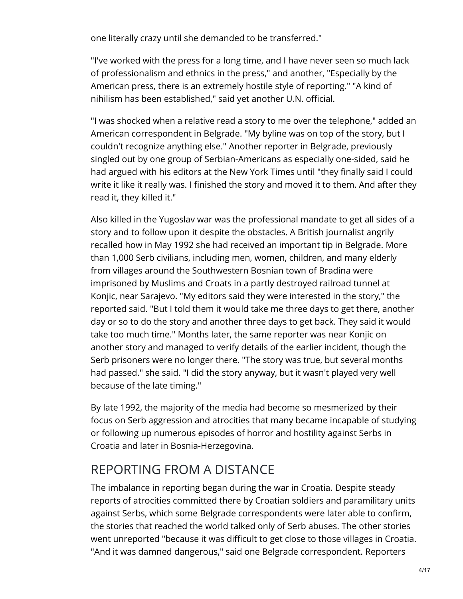one literally crazy until she demanded to be transferred."

"I've worked with the press for a long time, and I have never seen so much lack of professionalism and ethnics in the press," and another, "Especially by the American press, there is an extremely hostile style of reporting." "A kind of nihilism has been established," said yet another U.N. official.

"I was shocked when a relative read a story to me over the telephone," added an American correspondent in Belgrade. "My byline was on top of the story, but I couldn't recognize anything else." Another reporter in Belgrade, previously singled out by one group of Serbian-Americans as especially one-sided, said he had argued with his editors at the New York Times until "they finally said I could write it like it really was. I finished the story and moved it to them. And after they read it, they killed it."

Also killed in the Yugoslav war was the professional mandate to get all sides of a story and to follow upon it despite the obstacles. A British journalist angrily recalled how in May 1992 she had received an important tip in Belgrade. More than 1,000 Serb civilians, including men, women, children, and many elderly from villages around the Southwestern Bosnian town of Bradina were imprisoned by Muslims and Croats in a partly destroyed railroad tunnel at Konjic, near Sarajevo. "My editors said they were interested in the story," the reported said. "But I told them it would take me three days to get there, another day or so to do the story and another three days to get back. They said it would take too much time." Months later, the same reporter was near Konjic on another story and managed to verify details of the earlier incident, though the Serb prisoners were no longer there. "The story was true, but several months had passed." she said. "I did the story anyway, but it wasn't played very well because of the late timing."

By late 1992, the majority of the media had become so mesmerized by their focus on Serb aggression and atrocities that many became incapable of studying or following up numerous episodes of horror and hostility against Serbs in Croatia and later in Bosnia-Herzegovina.

## REPORTING FROM A DISTANCE

The imbalance in reporting began during the war in Croatia. Despite steady reports of atrocities committed there by Croatian soldiers and paramilitary units against Serbs, which some Belgrade correspondents were later able to confirm, the stories that reached the world talked only of Serb abuses. The other stories went unreported "because it was difficult to get close to those villages in Croatia. "And it was damned dangerous," said one Belgrade correspondent. Reporters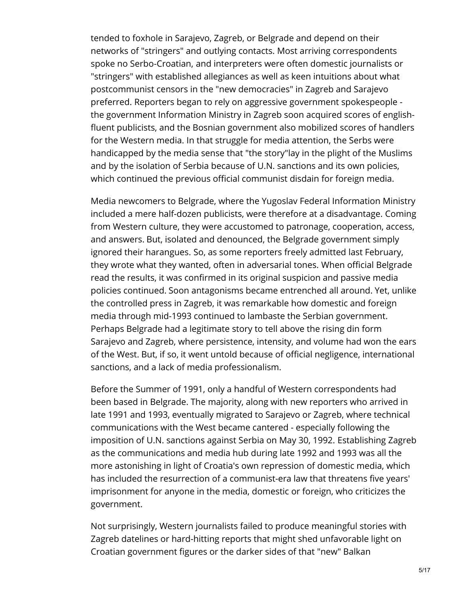tended to foxhole in Sarajevo, Zagreb, or Belgrade and depend on their networks of "stringers" and outlying contacts. Most arriving correspondents spoke no Serbo-Croatian, and interpreters were often domestic journalists or "stringers" with established allegiances as well as keen intuitions about what postcommunist censors in the "new democracies" in Zagreb and Sarajevo preferred. Reporters began to rely on aggressive government spokespeople the government Information Ministry in Zagreb soon acquired scores of englishfluent publicists, and the Bosnian government also mobilized scores of handlers for the Western media. In that struggle for media attention, the Serbs were handicapped by the media sense that "the story"lay in the plight of the Muslims and by the isolation of Serbia because of U.N. sanctions and its own policies, which continued the previous official communist disdain for foreign media.

Media newcomers to Belgrade, where the Yugoslav Federal Information Ministry included a mere half-dozen publicists, were therefore at a disadvantage. Coming from Western culture, they were accustomed to patronage, cooperation, access, and answers. But, isolated and denounced, the Belgrade government simply ignored their harangues. So, as some reporters freely admitted last February, they wrote what they wanted, often in adversarial tones. When official Belgrade read the results, it was confirmed in its original suspicion and passive media policies continued. Soon antagonisms became entrenched all around. Yet, unlike the controlled press in Zagreb, it was remarkable how domestic and foreign media through mid-1993 continued to lambaste the Serbian government. Perhaps Belgrade had a legitimate story to tell above the rising din form Sarajevo and Zagreb, where persistence, intensity, and volume had won the ears of the West. But, if so, it went untold because of official negligence, international sanctions, and a lack of media professionalism.

Before the Summer of 1991, only a handful of Western correspondents had been based in Belgrade. The majority, along with new reporters who arrived in late 1991 and 1993, eventually migrated to Sarajevo or Zagreb, where technical communications with the West became cantered - especially following the imposition of U.N. sanctions against Serbia on May 30, 1992. Establishing Zagreb as the communications and media hub during late 1992 and 1993 was all the more astonishing in light of Croatia's own repression of domestic media, which has included the resurrection of a communist-era law that threatens five years' imprisonment for anyone in the media, domestic or foreign, who criticizes the government.

Not surprisingly, Western journalists failed to produce meaningful stories with Zagreb datelines or hard-hitting reports that might shed unfavorable light on Croatian government figures or the darker sides of that "new" Balkan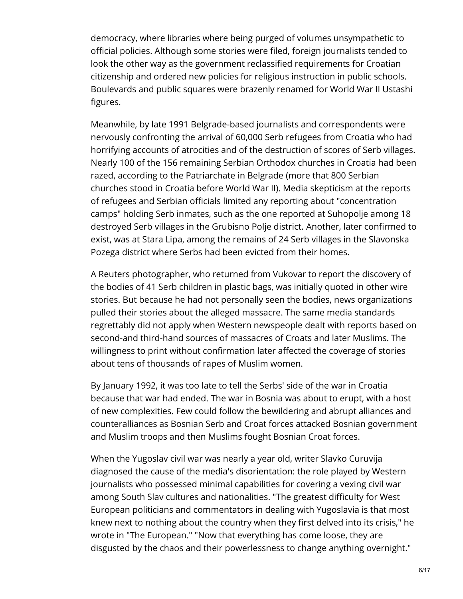democracy, where libraries where being purged of volumes unsympathetic to official policies. Although some stories were filed, foreign journalists tended to look the other way as the government reclassified requirements for Croatian citizenship and ordered new policies for religious instruction in public schools. Boulevards and public squares were brazenly renamed for World War II Ustashi figures.

Meanwhile, by late 1991 Belgrade-based journalists and correspondents were nervously confronting the arrival of 60,000 Serb refugees from Croatia who had horrifying accounts of atrocities and of the destruction of scores of Serb villages. Nearly 100 of the 156 remaining Serbian Orthodox churches in Croatia had been razed, according to the Patriarchate in Belgrade (more that 800 Serbian churches stood in Croatia before World War II). Media skepticism at the reports of refugees and Serbian officials limited any reporting about "concentration camps" holding Serb inmates, such as the one reported at Suhopolje among 18 destroyed Serb villages in the Grubisno Polje district. Another, later confirmed to exist, was at Stara Lipa, among the remains of 24 Serb villages in the Slavonska Pozega district where Serbs had been evicted from their homes.

A Reuters photographer, who returned from Vukovar to report the discovery of the bodies of 41 Serb children in plastic bags, was initially quoted in other wire stories. But because he had not personally seen the bodies, news organizations pulled their stories about the alleged massacre. The same media standards regrettably did not apply when Western newspeople dealt with reports based on second-and third-hand sources of massacres of Croats and later Muslims. The willingness to print without confirmation later affected the coverage of stories about tens of thousands of rapes of Muslim women.

By January 1992, it was too late to tell the Serbs' side of the war in Croatia because that war had ended. The war in Bosnia was about to erupt, with a host of new complexities. Few could follow the bewildering and abrupt alliances and counteralliances as Bosnian Serb and Croat forces attacked Bosnian government and Muslim troops and then Muslims fought Bosnian Croat forces.

When the Yugoslav civil war was nearly a year old, writer Slavko Curuvija diagnosed the cause of the media's disorientation: the role played by Western journalists who possessed minimal capabilities for covering a vexing civil war among South Slav cultures and nationalities. "The greatest difficulty for West European politicians and commentators in dealing with Yugoslavia is that most knew next to nothing about the country when they first delved into its crisis," he wrote in "The European." "Now that everything has come loose, they are disgusted by the chaos and their powerlessness to change anything overnight."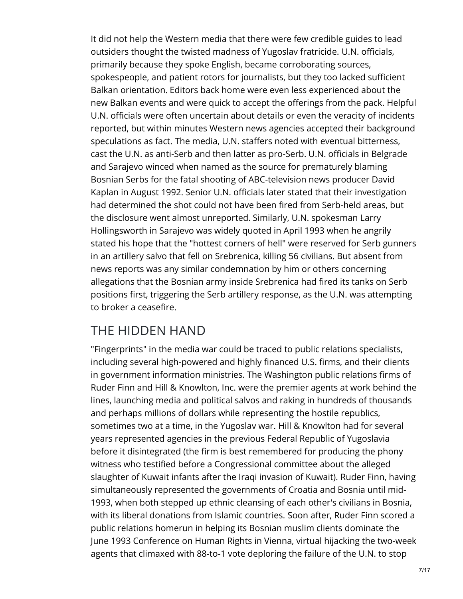It did not help the Western media that there were few credible guides to lead outsiders thought the twisted madness of Yugoslav fratricide. U.N. officials, primarily because they spoke English, became corroborating sources, spokespeople, and patient rotors for journalists, but they too lacked sufficient Balkan orientation. Editors back home were even less experienced about the new Balkan events and were quick to accept the offerings from the pack. Helpful U.N. officials were often uncertain about details or even the veracity of incidents reported, but within minutes Western news agencies accepted their background speculations as fact. The media, U.N. staffers noted with eventual bitterness, cast the U.N. as anti-Serb and then latter as pro-Serb. U.N. officials in Belgrade and Sarajevo winced when named as the source for prematurely blaming Bosnian Serbs for the fatal shooting of ABC-television news producer David Kaplan in August 1992. Senior U.N. officials later stated that their investigation had determined the shot could not have been fired from Serb-held areas, but the disclosure went almost unreported. Similarly, U.N. spokesman Larry Hollingsworth in Sarajevo was widely quoted in April 1993 when he angrily stated his hope that the "hottest corners of hell" were reserved for Serb gunners in an artillery salvo that fell on Srebrenica, killing 56 civilians. But absent from news reports was any similar condemnation by him or others concerning allegations that the Bosnian army inside Srebrenica had fired its tanks on Serb positions first, triggering the Serb artillery response, as the U.N. was attempting to broker a ceasefire.

## THE HIDDEN HAND

"Fingerprints" in the media war could be traced to public relations specialists, including several high-powered and highly financed U.S. firms, and their clients in government information ministries. The Washington public relations firms of Ruder Finn and Hill & Knowlton, Inc. were the premier agents at work behind the lines, launching media and political salvos and raking in hundreds of thousands and perhaps millions of dollars while representing the hostile republics, sometimes two at a time, in the Yugoslav war. Hill & Knowlton had for several years represented agencies in the previous Federal Republic of Yugoslavia before it disintegrated (the firm is best remembered for producing the phony witness who testified before a Congressional committee about the alleged slaughter of Kuwait infants after the Iraqi invasion of Kuwait). Ruder Finn, having simultaneously represented the governments of Croatia and Bosnia until mid-1993, when both stepped up ethnic cleansing of each other's civilians in Bosnia, with its liberal donations from Islamic countries. Soon after, Ruder Finn scored a public relations homerun in helping its Bosnian muslim clients dominate the June 1993 Conference on Human Rights in Vienna, virtual hijacking the two-week agents that climaxed with 88-to-1 vote deploring the failure of the U.N. to stop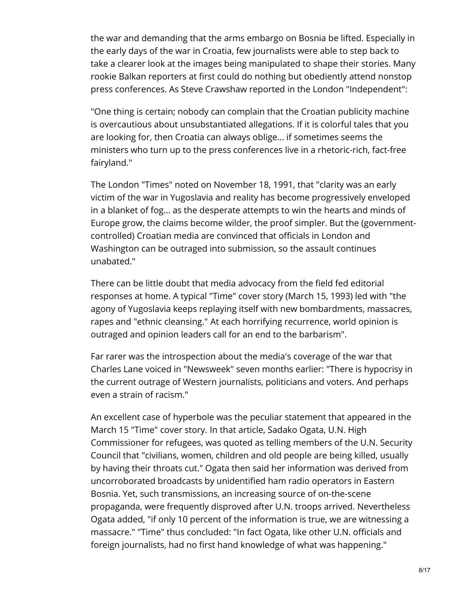the war and demanding that the arms embargo on Bosnia be lifted. Especially in the early days of the war in Croatia, few journalists were able to step back to take a clearer look at the images being manipulated to shape their stories. Many rookie Balkan reporters at first could do nothing but obediently attend nonstop press conferences. As Steve Crawshaw reported in the London "Independent":

"One thing is certain; nobody can complain that the Croatian publicity machine is overcautious about unsubstantiated allegations. If it is colorful tales that you are looking for, then Croatia can always oblige... if sometimes seems the ministers who turn up to the press conferences live in a rhetoric-rich, fact-free fairyland."

The London "Times" noted on November 18, 1991, that "clarity was an early victim of the war in Yugoslavia and reality has become progressively enveloped in a blanket of fog... as the desperate attempts to win the hearts and minds of Europe grow, the claims become wilder, the proof simpler. But the (governmentcontrolled) Croatian media are convinced that officials in London and Washington can be outraged into submission, so the assault continues unabated."

There can be little doubt that media advocacy from the field fed editorial responses at home. A typical "Time" cover story (March 15, 1993) led with "the agony of Yugoslavia keeps replaying itself with new bombardments, massacres, rapes and "ethnic cleansing." At each horrifying recurrence, world opinion is outraged and opinion leaders call for an end to the barbarism".

Far rarer was the introspection about the media's coverage of the war that Charles Lane voiced in "Newsweek" seven months earlier: "There is hypocrisy in the current outrage of Western journalists, politicians and voters. And perhaps even a strain of racism."

An excellent case of hyperbole was the peculiar statement that appeared in the March 15 "Time" cover story. In that article, Sadako Ogata, U.N. High Commissioner for refugees, was quoted as telling members of the U.N. Security Council that "civilians, women, children and old people are being killed, usually by having their throats cut." Ogata then said her information was derived from uncorroborated broadcasts by unidentified ham radio operators in Eastern Bosnia. Yet, such transmissions, an increasing source of on-the-scene propaganda, were frequently disproved after U.N. troops arrived. Nevertheless Ogata added, "if only 10 percent of the information is true, we are witnessing a massacre." "Time" thus concluded: "In fact Ogata, like other U.N. officials and foreign journalists, had no first hand knowledge of what was happening."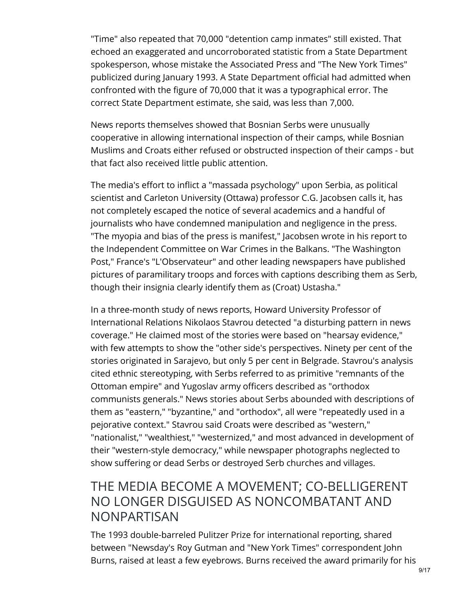"Time" also repeated that 70,000 "detention camp inmates" still existed. That echoed an exaggerated and uncorroborated statistic from a State Department spokesperson, whose mistake the Associated Press and "The New York Times" publicized during January 1993. A State Department official had admitted when confronted with the figure of 70,000 that it was a typographical error. The correct State Department estimate, she said, was less than 7,000.

News reports themselves showed that Bosnian Serbs were unusually cooperative in allowing international inspection of their camps, while Bosnian Muslims and Croats either refused or obstructed inspection of their camps - but that fact also received little public attention.

The media's effort to inflict a "massada psychology" upon Serbia, as political scientist and Carleton University (Ottawa) professor C.G. Jacobsen calls it, has not completely escaped the notice of several academics and a handful of journalists who have condemned manipulation and negligence in the press. "The myopia and bias of the press is manifest," Jacobsen wrote in his report to the Independent Committee on War Crimes in the Balkans. "The Washington Post," France's "L'Observateur" and other leading newspapers have published pictures of paramilitary troops and forces with captions describing them as Serb, though their insignia clearly identify them as (Croat) Ustasha."

In a three-month study of news reports, Howard University Professor of International Relations Nikolaos Stavrou detected "a disturbing pattern in news coverage." He claimed most of the stories were based on "hearsay evidence," with few attempts to show the "other side's perspectives. Ninety per cent of the stories originated in Sarajevo, but only 5 per cent in Belgrade. Stavrou's analysis cited ethnic stereotyping, with Serbs referred to as primitive "remnants of the Ottoman empire" and Yugoslav army officers described as "orthodox communists generals." News stories about Serbs abounded with descriptions of them as "eastern," "byzantine," and "orthodox", all were "repeatedly used in a pejorative context." Stavrou said Croats were described as "western," "nationalist," "wealthiest," "westernized," and most advanced in development of their "western-style democracy," while newspaper photographs neglected to show suffering or dead Serbs or destroyed Serb churches and villages.

#### THE MEDIA BECOME A MOVEMENT; CO-BELLIGERENT NO LONGER DISGUISED AS NONCOMBATANT AND NONPARTISAN

The 1993 double-barreled Pulitzer Prize for international reporting, shared between "Newsday's Roy Gutman and "New York Times" correspondent John Burns, raised at least a few eyebrows. Burns received the award primarily for his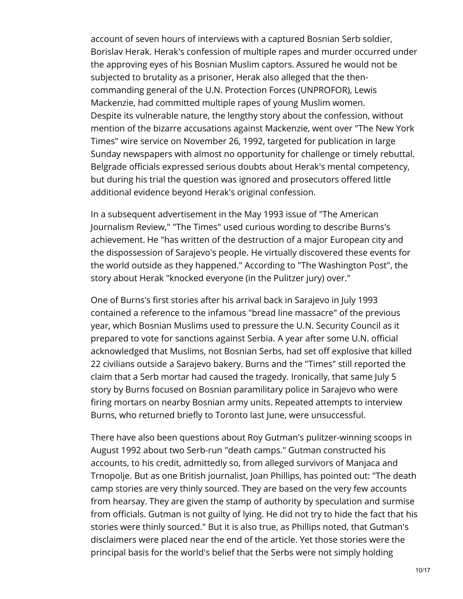account of seven hours of interviews with a captured Bosnian Serb soldier, Borislav Herak. Herak's confession of multiple rapes and murder occurred under the approving eyes of his Bosnian Muslim captors. Assured he would not be subjected to brutality as a prisoner, Herak also alleged that the thencommanding general of the U.N. Protection Forces (UNPROFOR), Lewis Mackenzie, had committed multiple rapes of young Muslim women. Despite its vulnerable nature, the lengthy story about the confession, without mention of the bizarre accusations against Mackenzie, went over "The New York Times" wire service on November 26, 1992, targeted for publication in large Sunday newspapers with almost no opportunity for challenge or timely rebuttal. Belgrade officials expressed serious doubts about Herak's mental competency, but during his trial the question was ignored and prosecutors offered little additional evidence beyond Herak's original confession.

In a subsequent advertisement in the May 1993 issue of "The American Journalism Review," "The Times" used curious wording to describe Burns's achievement. He "has written of the destruction of a major European city and the dispossession of Sarajevo's people. He virtually discovered these events for the world outside as they happened." According to "The Washington Post", the story about Herak "knocked everyone (in the Pulitzer jury) over."

One of Burns's first stories after his arrival back in Sarajevo in July 1993 contained a reference to the infamous "bread line massacre" of the previous year, which Bosnian Muslims used to pressure the U.N. Security Council as it prepared to vote for sanctions against Serbia. A year after some U.N. official acknowledged that Muslims, not Bosnian Serbs, had set off explosive that killed 22 civilians outside a Sarajevo bakery. Burns and the "Times" still reported the claim that a Serb mortar had caused the tragedy. Ironically, that same July 5 story by Burns focused on Bosnian paramilitary police in Sarajevo who were firing mortars on nearby Bosnian army units. Repeated attempts to interview Burns, who returned briefly to Toronto last June, were unsuccessful.

There have also been questions about Roy Gutman's pulitzer-winning scoops in August 1992 about two Serb-run "death camps." Gutman constructed his accounts, to his credit, admittedly so, from alleged survivors of Manjaca and Trnopolje. But as one British journalist, Joan Phillips, has pointed out: "The death camp stories are very thinly sourced. They are based on the very few accounts from hearsay. They are given the stamp of authority by speculation and surmise from officials. Gutman is not guilty of lying. He did not try to hide the fact that his stories were thinly sourced." But it is also true, as Phillips noted, that Gutman's disclaimers were placed near the end of the article. Yet those stories were the principal basis for the world's belief that the Serbs were not simply holding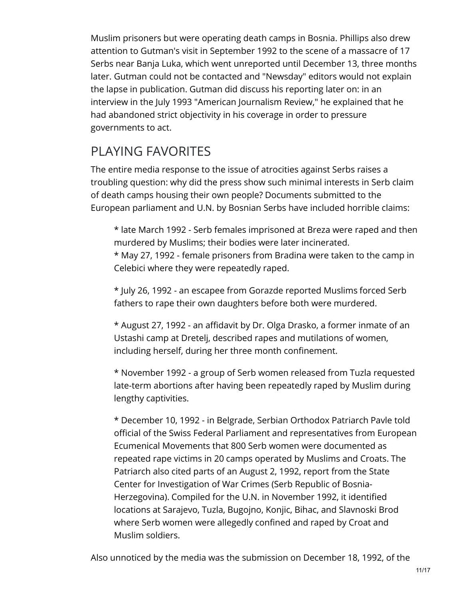Muslim prisoners but were operating death camps in Bosnia. Phillips also drew attention to Gutman's visit in September 1992 to the scene of a massacre of 17 Serbs near Banja Luka, which went unreported until December 13, three months later. Gutman could not be contacted and "Newsday" editors would not explain the lapse in publication. Gutman did discuss his reporting later on: in an interview in the July 1993 "American Journalism Review," he explained that he had abandoned strict objectivity in his coverage in order to pressure governments to act.

# PLAYING FAVORITES

The entire media response to the issue of atrocities against Serbs raises a troubling question: why did the press show such minimal interests in Serb claim of death camps housing their own people? Documents submitted to the European parliament and U.N. by Bosnian Serbs have included horrible claims:

\* late March 1992 - Serb females imprisoned at Breza were raped and then murdered by Muslims; their bodies were later incinerated. \* May 27, 1992 - female prisoners from Bradina were taken to the camp in Celebici where they were repeatedly raped.

\* July 26, 1992 - an escapee from Gorazde reported Muslims forced Serb fathers to rape their own daughters before both were murdered.

\* August 27, 1992 - an affidavit by Dr. Olga Drasko, a former inmate of an Ustashi camp at Dretelj, described rapes and mutilations of women, including herself, during her three month confinement.

\* November 1992 - a group of Serb women released from Tuzla requested late-term abortions after having been repeatedly raped by Muslim during lengthy captivities.

\* December 10, 1992 - in Belgrade, Serbian Orthodox Patriarch Pavle told official of the Swiss Federal Parliament and representatives from European Ecumenical Movements that 800 Serb women were documented as repeated rape victims in 20 camps operated by Muslims and Croats. The Patriarch also cited parts of an August 2, 1992, report from the State Center for Investigation of War Crimes (Serb Republic of Bosnia-Herzegovina). Compiled for the U.N. in November 1992, it identified locations at Sarajevo, Tuzla, Bugojno, Konjic, Bihac, and Slavnoski Brod where Serb women were allegedly confined and raped by Croat and Muslim soldiers.

Also unnoticed by the media was the submission on December 18, 1992, of the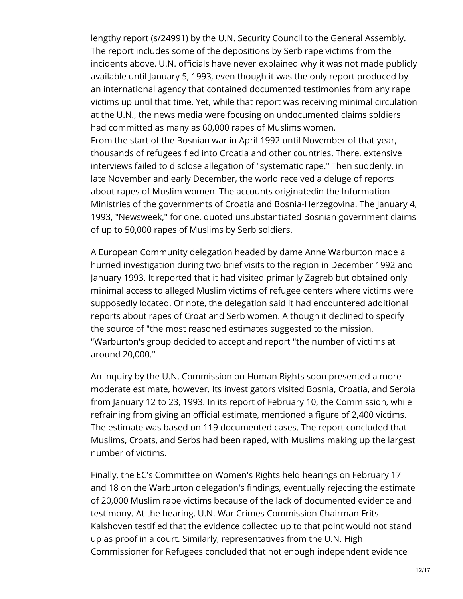lengthy report (s/24991) by the U.N. Security Council to the General Assembly. The report includes some of the depositions by Serb rape victims from the incidents above. U.N. officials have never explained why it was not made publicly available until January 5, 1993, even though it was the only report produced by an international agency that contained documented testimonies from any rape victims up until that time. Yet, while that report was receiving minimal circulation at the U.N., the news media were focusing on undocumented claims soldiers had committed as many as 60,000 rapes of Muslims women.

From the start of the Bosnian war in April 1992 until November of that year, thousands of refugees fled into Croatia and other countries. There, extensive interviews failed to disclose allegation of "systematic rape." Then suddenly, in late November and early December, the world received a deluge of reports about rapes of Muslim women. The accounts originatedin the Information Ministries of the governments of Croatia and Bosnia-Herzegovina. The January 4, 1993, "Newsweek," for one, quoted unsubstantiated Bosnian government claims of up to 50,000 rapes of Muslims by Serb soldiers.

A European Community delegation headed by dame Anne Warburton made a hurried investigation during two brief visits to the region in December 1992 and January 1993. It reported that it had visited primarily Zagreb but obtained only minimal access to alleged Muslim victims of refugee centers where victims were supposedly located. Of note, the delegation said it had encountered additional reports about rapes of Croat and Serb women. Although it declined to specify the source of "the most reasoned estimates suggested to the mission, "Warburton's group decided to accept and report "the number of victims at around 20,000."

An inquiry by the U.N. Commission on Human Rights soon presented a more moderate estimate, however. Its investigators visited Bosnia, Croatia, and Serbia from January 12 to 23, 1993. In its report of February 10, the Commission, while refraining from giving an official estimate, mentioned a figure of 2,400 victims. The estimate was based on 119 documented cases. The report concluded that Muslims, Croats, and Serbs had been raped, with Muslims making up the largest number of victims.

Finally, the EC's Committee on Women's Rights held hearings on February 17 and 18 on the Warburton delegation's findings, eventually rejecting the estimate of 20,000 Muslim rape victims because of the lack of documented evidence and testimony. At the hearing, U.N. War Crimes Commission Chairman Frits Kalshoven testified that the evidence collected up to that point would not stand up as proof in a court. Similarly, representatives from the U.N. High Commissioner for Refugees concluded that not enough independent evidence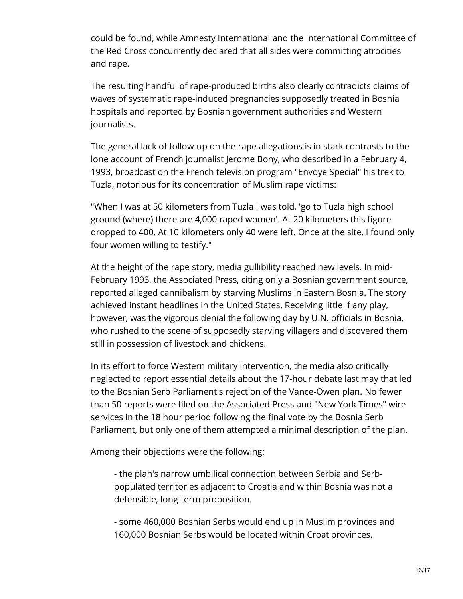could be found, while Amnesty International and the International Committee of the Red Cross concurrently declared that all sides were committing atrocities and rape.

The resulting handful of rape-produced births also clearly contradicts claims of waves of systematic rape-induced pregnancies supposedly treated in Bosnia hospitals and reported by Bosnian government authorities and Western journalists.

The general lack of follow-up on the rape allegations is in stark contrasts to the lone account of French journalist Jerome Bony, who described in a February 4, 1993, broadcast on the French television program "Envoye Special" his trek to Tuzla, notorious for its concentration of Muslim rape victims:

"When I was at 50 kilometers from Tuzla I was told, 'go to Tuzla high school ground (where) there are 4,000 raped women'. At 20 kilometers this figure dropped to 400. At 10 kilometers only 40 were left. Once at the site, I found only four women willing to testify."

At the height of the rape story, media gullibility reached new levels. In mid-February 1993, the Associated Press, citing only a Bosnian government source, reported alleged cannibalism by starving Muslims in Eastern Bosnia. The story achieved instant headlines in the United States. Receiving little if any play, however, was the vigorous denial the following day by U.N. officials in Bosnia, who rushed to the scene of supposedly starving villagers and discovered them still in possession of livestock and chickens.

In its effort to force Western military intervention, the media also critically neglected to report essential details about the 17-hour debate last may that led to the Bosnian Serb Parliament's rejection of the Vance-Owen plan. No fewer than 50 reports were filed on the Associated Press and "New York Times" wire services in the 18 hour period following the final vote by the Bosnia Serb Parliament, but only one of them attempted a minimal description of the plan.

Among their objections were the following:

- the plan's narrow umbilical connection between Serbia and Serbpopulated territories adjacent to Croatia and within Bosnia was not a defensible, long-term proposition.

- some 460,000 Bosnian Serbs would end up in Muslim provinces and 160,000 Bosnian Serbs would be located within Croat provinces.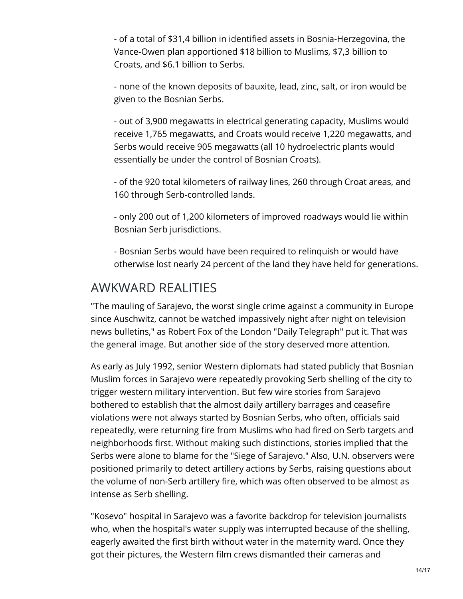- of a total of \$31,4 billion in identified assets in Bosnia-Herzegovina, the Vance-Owen plan apportioned \$18 billion to Muslims, \$7,3 billion to Croats, and \$6.1 billion to Serbs.

- none of the known deposits of bauxite, lead, zinc, salt, or iron would be given to the Bosnian Serbs.

- out of 3,900 megawatts in electrical generating capacity, Muslims would receive 1,765 megawatts, and Croats would receive 1,220 megawatts, and Serbs would receive 905 megawatts (all 10 hydroelectric plants would essentially be under the control of Bosnian Croats).

- of the 920 total kilometers of railway lines, 260 through Croat areas, and 160 through Serb-controlled lands.

- only 200 out of 1,200 kilometers of improved roadways would lie within Bosnian Serb jurisdictions.

- Bosnian Serbs would have been required to relinquish or would have otherwise lost nearly 24 percent of the land they have held for generations.

#### AWKWARD REALITIES

"The mauling of Sarajevo, the worst single crime against a community in Europe since Auschwitz, cannot be watched impassively night after night on television news bulletins," as Robert Fox of the London "Daily Telegraph" put it. That was the general image. But another side of the story deserved more attention.

As early as July 1992, senior Western diplomats had stated publicly that Bosnian Muslim forces in Sarajevo were repeatedly provoking Serb shelling of the city to trigger western military intervention. But few wire stories from Sarajevo bothered to establish that the almost daily artillery barrages and ceasefire violations were not always started by Bosnian Serbs, who often, officials said repeatedly, were returning fire from Muslims who had fired on Serb targets and neighborhoods first. Without making such distinctions, stories implied that the Serbs were alone to blame for the "Siege of Sarajevo." Also, U.N. observers were positioned primarily to detect artillery actions by Serbs, raising questions about the volume of non-Serb artillery fire, which was often observed to be almost as intense as Serb shelling.

"Kosevo" hospital in Sarajevo was a favorite backdrop for television journalists who, when the hospital's water supply was interrupted because of the shelling, eagerly awaited the first birth without water in the maternity ward. Once they got their pictures, the Western film crews dismantled their cameras and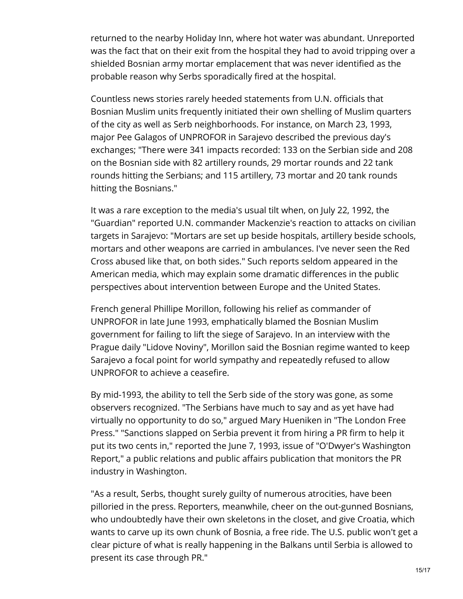returned to the nearby Holiday Inn, where hot water was abundant. Unreported was the fact that on their exit from the hospital they had to avoid tripping over a shielded Bosnian army mortar emplacement that was never identified as the probable reason why Serbs sporadically fired at the hospital.

Countless news stories rarely heeded statements from U.N. officials that Bosnian Muslim units frequently initiated their own shelling of Muslim quarters of the city as well as Serb neighborhoods. For instance, on March 23, 1993, major Pee Galagos of UNPROFOR in Sarajevo described the previous day's exchanges; "There were 341 impacts recorded: 133 on the Serbian side and 208 on the Bosnian side with 82 artillery rounds, 29 mortar rounds and 22 tank rounds hitting the Serbians; and 115 artillery, 73 mortar and 20 tank rounds hitting the Bosnians."

It was a rare exception to the media's usual tilt when, on July 22, 1992, the "Guardian" reported U.N. commander Mackenzie's reaction to attacks on civilian targets in Sarajevo: "Mortars are set up beside hospitals, artillery beside schools, mortars and other weapons are carried in ambulances. I've never seen the Red Cross abused like that, on both sides." Such reports seldom appeared in the American media, which may explain some dramatic differences in the public perspectives about intervention between Europe and the United States.

French general Phillipe Morillon, following his relief as commander of UNPROFOR in late June 1993, emphatically blamed the Bosnian Muslim government for failing to lift the siege of Sarajevo. In an interview with the Prague daily "Lidove Noviny", Morillon said the Bosnian regime wanted to keep Sarajevo a focal point for world sympathy and repeatedly refused to allow UNPROFOR to achieve a ceasefire.

By mid-1993, the ability to tell the Serb side of the story was gone, as some observers recognized. "The Serbians have much to say and as yet have had virtually no opportunity to do so," argued Mary Hueniken in "The London Free Press." "Sanctions slapped on Serbia prevent it from hiring a PR firm to help it put its two cents in," reported the June 7, 1993, issue of "O'Dwyer's Washington Report," a public relations and public affairs publication that monitors the PR industry in Washington.

"As a result, Serbs, thought surely guilty of numerous atrocities, have been pilloried in the press. Reporters, meanwhile, cheer on the out-gunned Bosnians, who undoubtedly have their own skeletons in the closet, and give Croatia, which wants to carve up its own chunk of Bosnia, a free ride. The U.S. public won't get a clear picture of what is really happening in the Balkans until Serbia is allowed to present its case through PR."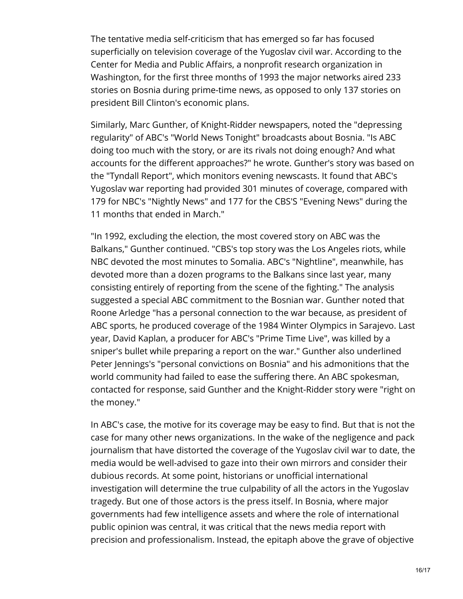The tentative media self-criticism that has emerged so far has focused superficially on television coverage of the Yugoslav civil war. According to the Center for Media and Public Affairs, a nonprofit research organization in Washington, for the first three months of 1993 the major networks aired 233 stories on Bosnia during prime-time news, as opposed to only 137 stories on president Bill Clinton's economic plans.

Similarly, Marc Gunther, of Knight-Ridder newspapers, noted the "depressing regularity" of ABC's "World News Tonight" broadcasts about Bosnia. "Is ABC doing too much with the story, or are its rivals not doing enough? And what accounts for the different approaches?" he wrote. Gunther's story was based on the "Tyndall Report", which monitors evening newscasts. It found that ABC's Yugoslav war reporting had provided 301 minutes of coverage, compared with 179 for NBC's "Nightly News" and 177 for the CBS'S "Evening News" during the 11 months that ended in March."

"In 1992, excluding the election, the most covered story on ABC was the Balkans," Gunther continued. "CBS's top story was the Los Angeles riots, while NBC devoted the most minutes to Somalia. ABC's "Nightline", meanwhile, has devoted more than a dozen programs to the Balkans since last year, many consisting entirely of reporting from the scene of the fighting." The analysis suggested a special ABC commitment to the Bosnian war. Gunther noted that Roone Arledge "has a personal connection to the war because, as president of ABC sports, he produced coverage of the 1984 Winter Olympics in Sarajevo. Last year, David Kaplan, a producer for ABC's "Prime Time Live", was killed by a sniper's bullet while preparing a report on the war." Gunther also underlined Peter Jennings's "personal convictions on Bosnia" and his admonitions that the world community had failed to ease the suffering there. An ABC spokesman, contacted for response, said Gunther and the Knight-Ridder story were "right on the money."

In ABC's case, the motive for its coverage may be easy to find. But that is not the case for many other news organizations. In the wake of the negligence and pack journalism that have distorted the coverage of the Yugoslav civil war to date, the media would be well-advised to gaze into their own mirrors and consider their dubious records. At some point, historians or unofficial international investigation will determine the true culpability of all the actors in the Yugoslav tragedy. But one of those actors is the press itself. In Bosnia, where major governments had few intelligence assets and where the role of international public opinion was central, it was critical that the news media report with precision and professionalism. Instead, the epitaph above the grave of objective